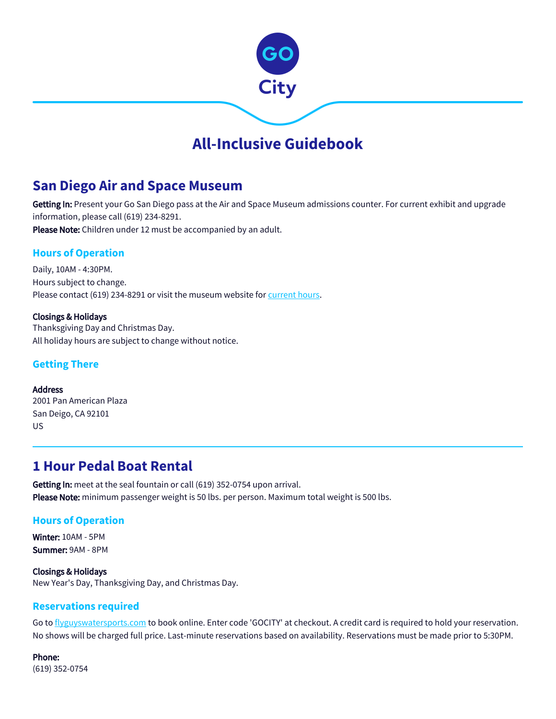

# **All-Inclusive Guidebook**

# **San Diego Air and Space Museum**

Getting In: Present your Go San Diego pass at the Air and Space Museum admissions counter. For current exhibit and upgrade information, please call (619) 234-8291. Please Note: Children under 12 must be accompanied by an adult.

## **Hours of Operation**

Daily, 10AM - 4:30PM. Hours subject to change. Please contact (619) 234-8291 or visit the museum website for [current hours](http://www.sandiegoairandspace.org/visit/).

Closings & Holidays Thanksgiving Day and Christmas Day. All holiday hours are subject to change without notice.

### **Getting There**

Address 2001 Pan American Plaza San Deigo, CA 92101 US

# **1 Hour Pedal Boat Rental**

Getting In: meet at the seal fountain or call (619) 352-0754 upon arrival. Please Note: minimum passenger weight is 50 lbs. per person. Maximum total weight is 500 lbs.

### **Hours of Operation**

Winter: 10AM - 5PM Summer: 9AM - 8PM

Closings & Holidays New Year's Day, Thanksgiving Day, and Christmas Day.

## **Reservations required**

Go to [flyguyswatersports.com](http://www.flyguyswatersports.com/) to book online. Enter code 'GOCITY' at checkout. A credit card is required to hold your reservation. No shows will be charged full price. Last-minute reservations based on availability. Reservations must be made prior to 5:30PM.

Phone: (619) 352-0754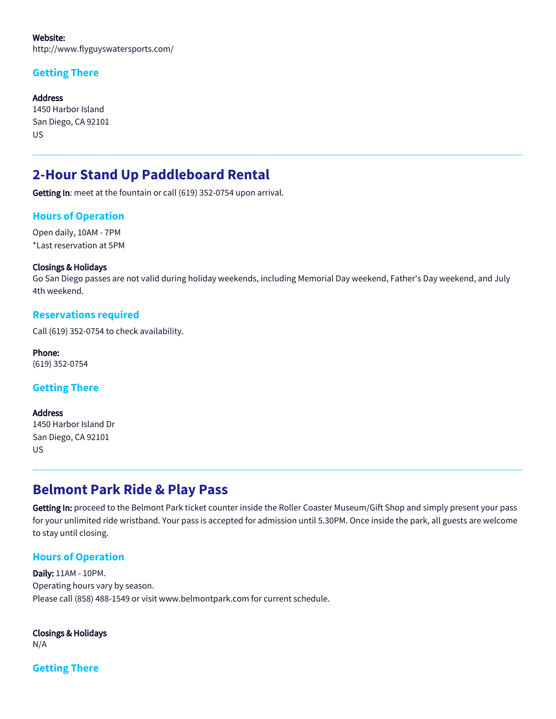Website: http://www.flyguyswatersports.com/

## **Getting There**

**Address** 1450 Harbor Island San Diego, CA 92101 US

# **2-Hour Stand Up Paddleboard Rental**

Getting In: meet at the fountain or call (619) 352-0754 upon arrival.

### **Hours of Operation**

Open daily, 10AM - 7PM \*Last reservation at 5PM

#### Closings & Holidays

Go San Diego passes are not valid during holiday weekends, including Memorial Day weekend, Father's Day weekend, and July 4th weekend.

#### **Reservations required**

Call (619) 352-0754 to check availability.

Phone: (619) 352-0754

### **Getting There**

Address 1450 Harbor Island Dr San Diego, CA 92101 US

# **Belmont Park Ride & Play Pass**

Getting In: proceed to the Belmont Park ticket counter inside the Roller Coaster Museum/Gift Shop and simply present your pass for your unlimited ride wristband. Your pass is accepted for admission until 5.30PM. Once inside the park, all guests are welcome to stay until closing.

### **Hours of Operation**

Daily: 11AM - 10PM. Operating hours vary by season. Please call (858) 488-1549 or visit www.belmontpark.com for current schedule.

#### Closings & Holidays

N/A

**Getting There**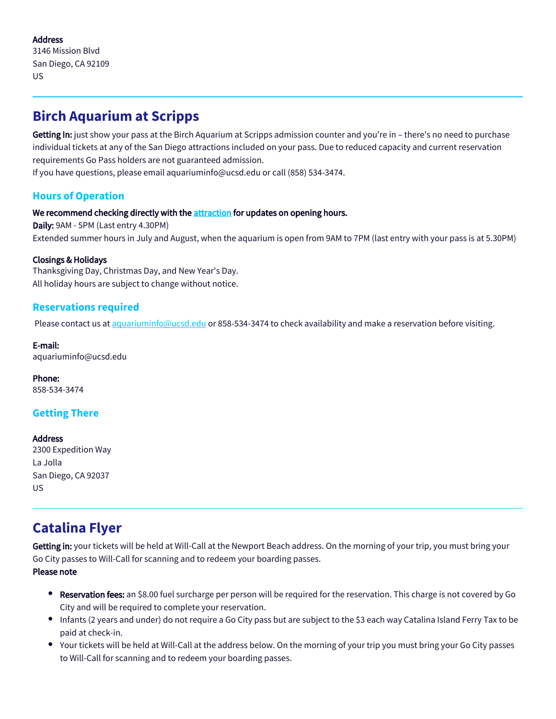### Address

3146 Mission Blvd San Diego, CA 92109 US

# **Birch Aquarium at Scripps**

Getting In: just show your pass at the Birch Aquarium at Scripps admission counter and you're in - there's no need to purchase individual tickets at any of the San Diego attractions included on your pass. Due to reduced capacity and current reservation requirements Go Pass holders are not guaranteed admission.

If you have questions, please email aquariuminfo@ucsd.edu or call (858) 534-3474.

## **Hours of Operation**

#### We recommend checking directly with the [attraction](https://aquarium.ucsd.edu/) for updates on opening hours.

Daily: 9AM - 5PM (Last entry 4.30PM) Extended summer hours in July and August, when the aquarium is open from 9AM to 7PM (last entry with your pass is at 5.30PM)

#### Closings & Holidays

Thanksgiving Day, Christmas Day, and New Year's Day. All holiday hours are subject to change without notice.

## **Reservations required**

Please contact us at [aquariuminfo@ucsd.edu](mailto:aquariuminfo@ucsd.edu) or 858-534-3474 to check availability and make a reservation before visiting.

#### E-mail:

aquariuminfo@ucsd.edu

Phone: 858-534-3474

## **Getting There**

#### Address

2300 Expedition Way La Jolla San Diego, CA 92037 US

# **Catalina Flyer**

Getting in: your tickets will be held at Will-Call at the Newport Beach address. On the morning of your trip, you must bring your Go City passes to Will-Call for scanning and to redeem your boarding passes.

#### Please note

- **Reservation fees:** an \$8.00 fuel surcharge per person will be required for the reservation. This charge is not covered by Go City and will be required to complete your reservation.
- Infants (2 years and under) do not require a Go City pass but are subject to the \$3 each way Catalina Island Ferry Tax to be paid at check-in.
- Your tickets will be held at Will-Call at the address below. On the morning of your trip you must bring your Go City passes to Will-Call for scanning and to redeem your boarding passes.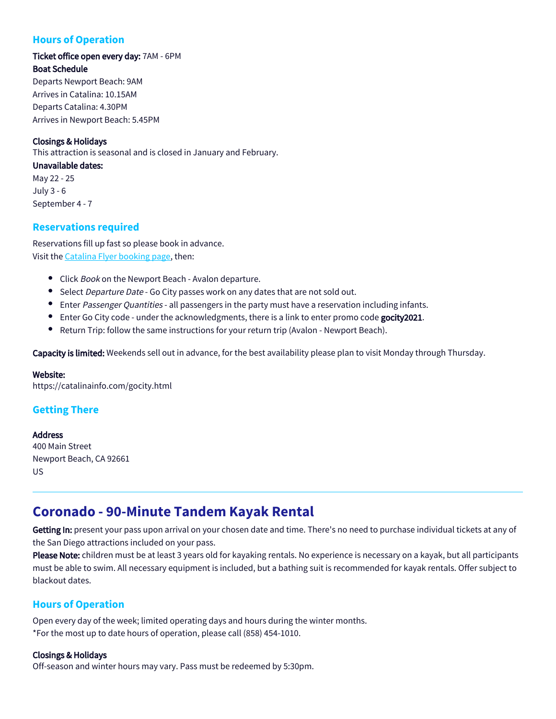## **Hours of Operation**

## Ticket office open every day: 7AM - 6PM Boat Schedule

Departs Newport Beach: 9AM Arrives in Catalina: 10.15AM Departs Catalina: 4.30PM Arrives in Newport Beach: 5.45PM

#### Closings & Holidays

This attraction is seasonal and is closed in January and February.

#### Unavailable dates:

May 22 - 25 July 3 - 6 September 4 - 7

### **Reservations required**

Reservations fill up fast so please book in advance. Visit the [Catalina Flyer booking page,](https://catalinainfo.com/gocity.html) then:

- Click Book on the Newport Beach Avalon departure.
- Select *Departure Date* Go City passes work on any dates that are not sold out.
- Enter Passenger Quantities all passengers in the party must have a reservation including infants.
- **Enter Go City code under the acknowledgments, there is a link to enter promo code gocity2021.**
- $\bullet$ Return Trip: follow the same instructions for your return trip (Avalon - Newport Beach).

Capacity is limited: Weekends sell out in advance, for the best availability please plan to visit Monday through Thursday.

#### Website:

https://catalinainfo.com/gocity.html

## **Getting There**

#### **Address**

400 Main Street Newport Beach, CA 92661 US

# **Coronado - 90-Minute Tandem Kayak Rental**

Getting In: present your pass upon arrival on your chosen date and time. There's no need to purchase individual tickets at any of the San Diego attractions included on your pass.

Please Note: children must be at least 3 years old for kayaking rentals. No experience is necessary on a kayak, but all participants must be able to swim. All necessary equipment is included, but a bathing suit is recommended for kayak rentals. Offer subject to blackout dates.

## **Hours of Operation**

Open every day of the week; limited operating days and hours during the winter months. \*For the most up to date hours of operation, please call (858) 454-1010.

#### Closings & Holidays

Off-season and winter hours may vary. Pass must be redeemed by 5:30pm.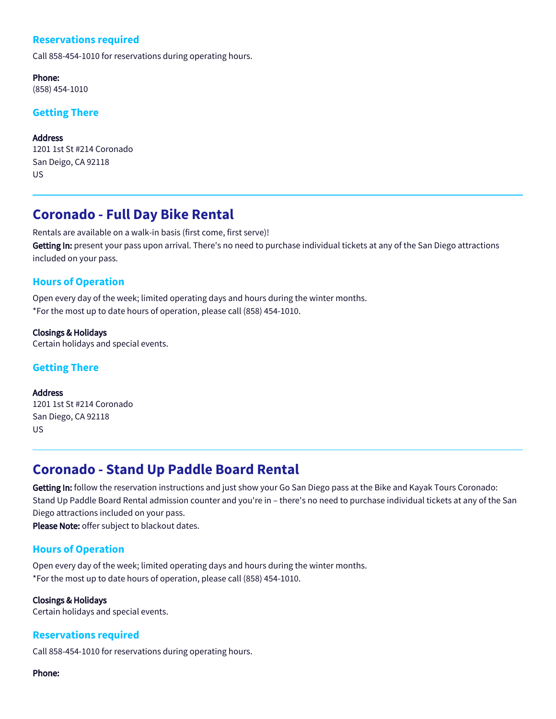## **Reservations required**

Call 858-454-1010 for reservations during operating hours.

Phone: (858) 454-1010

## **Getting There**

Address 1201 1st St #214 Coronado San Deigo, CA 92118 US

# **Coronado - Full Day Bike Rental**

Rentals are available on a walk-in basis (first come, first serve)! Getting In: present your pass upon arrival. There's no need to purchase individual tickets at any of the San Diego attractions included on your pass.

### **Hours of Operation**

Open every day of the week; limited operating days and hours during the winter months. \*For the most up to date hours of operation, please call (858) 454-1010.

Closings & Holidays Certain holidays and special events.

## **Getting There**

Address 1201 1st St #214 Coronado San Diego, CA 92118 US

# **Coronado - Stand Up Paddle Board Rental**

Getting In: follow the reservation instructions and just show your Go San Diego pass at the Bike and Kayak Tours Coronado: Stand Up Paddle Board Rental admission counter and you're in – there's no need to purchase individual tickets at any of the San Diego attractions included on your pass.

Please Note: offer subject to blackout dates.

### **Hours of Operation**

Open every day of the week; limited operating days and hours during the winter months. \*For the most up to date hours of operation, please call (858) 454-1010.

#### Closings & Holidays

Certain holidays and special events.

### **Reservations required**

Call 858-454-1010 for reservations during operating hours.

Phone: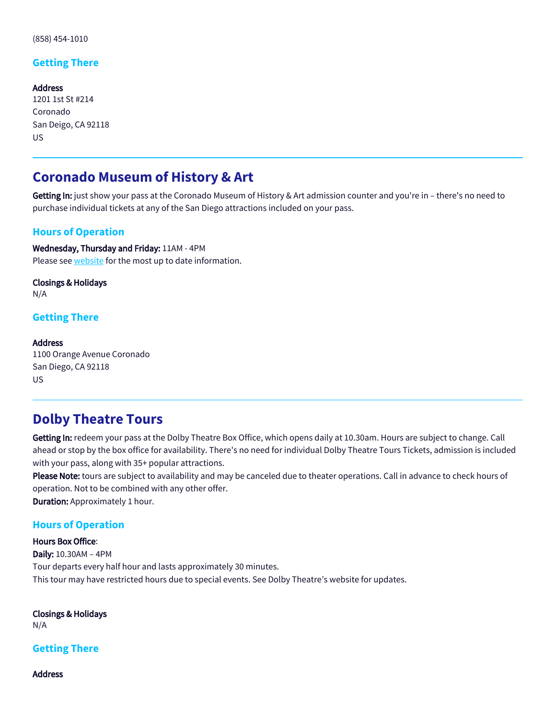(858) 454-1010

### **Getting There**

Address 1201 1st St #214 Coronado San Deigo, CA 92118 US

# **Coronado Museum of History & Art**

Getting In: just show your pass at the Coronado Museum of History & Art admission counter and you're in – there's no need to purchase individual tickets at any of the San Diego attractions included on your pass.

### **Hours of Operation**

Wednesday, Thursday and Friday: 11AM - 4PM Please see [website](https://coronadohistory.org/) for the most up to date information.

Closings & Holidays N/A

#### **Getting There**

#### Address

1100 Orange Avenue Coronado San Diego, CA 92118 US

## **Dolby Theatre Tours**

Getting In: redeem your pass at the Dolby Theatre Box Office, which opens daily at 10.30am. Hours are subject to change. Call ahead or stop by the box office for availability. There's no need for individual Dolby Theatre Tours Tickets, admission is included with your pass, along with 35+ popular attractions.

Please Note: tours are subject to availability and may be canceled due to theater operations. Call in advance to check hours of operation. Not to be combined with any other offer.

Duration: Approximately 1 hour.

#### **Hours of Operation**

Hours Box Office: Daily: 10.30AM – 4PM Tour departs every half hour and lasts approximately 30 minutes. This tour may have restricted hours due to special events. See Dolby Theatre's website for updates.

Closings & Holidays N/A

**Getting There**

Address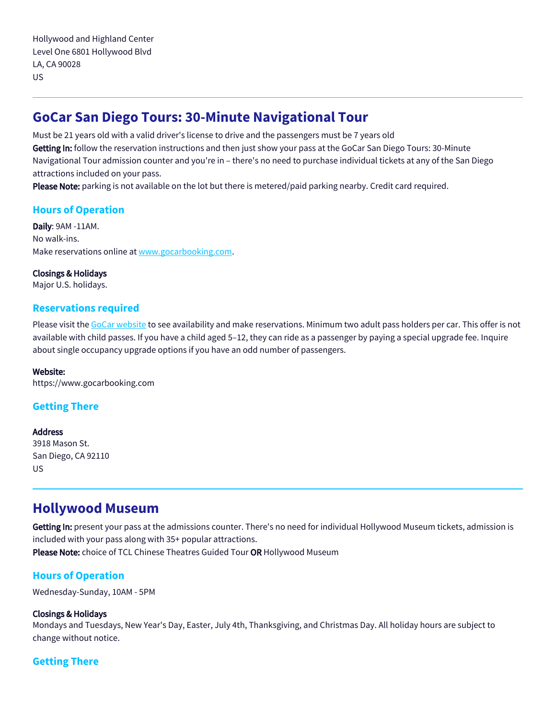# **GoCar San Diego Tours: 30-Minute Navigational Tour**

Must be 21 years old with a valid driver's license to drive and the passengers must be 7 years old Getting In: follow the reservation instructions and then just show your pass at the GoCar San Diego Tours: 30-Minute Navigational Tour admission counter and you're in – there's no need to purchase individual tickets at any of the San Diego attractions included on your pass.

Please Note: parking is not available on the lot but there is metered/paid parking nearby. Credit card required.

## **Hours of Operation**

Daily: 9AM -11AM. No walk-ins. Make reservations online at [www.gocarbooking.com.](https://fareharbor.com/embeds/book/gocartours-sandiego/items/118393/calendar/2020/03/?flow=no&full-items=yes)

#### Closings & Holidays

Major U.S. holidays.

#### **Reservations required**

Please visit the [GoCar website](https://fareharbor.com/embeds/book/gocartours-sandiego/items/118393/calendar/2020/03/?flow=no&full-items=yes) to see availability and make reservations. Minimum two adult pass holders per car. This offer is not available with child passes. If you have a child aged 5–12, they can ride as a passenger by paying a special upgrade fee. Inquire about single occupancy upgrade options if you have an odd number of passengers.

#### Website:

https://www.gocarbooking.com

## **Getting There**

#### Address

3918 Mason St. San Diego, CA 92110 US

## **Hollywood Museum**

Getting In: present your pass at the admissions counter. There's no need for individual Hollywood Museum tickets, admission is included with your pass along with 35+ popular attractions. Please Note: choice of TCL Chinese Theatres Guided Tour OR Hollywood Museum

### **Hours of Operation**

Wednesday-Sunday, 10AM - 5PM

#### Closings & Holidays

Mondays and Tuesdays, New Year's Day, Easter, July 4th, Thanksgiving, and Christmas Day. All holiday hours are subject to change without notice.

## **Getting There**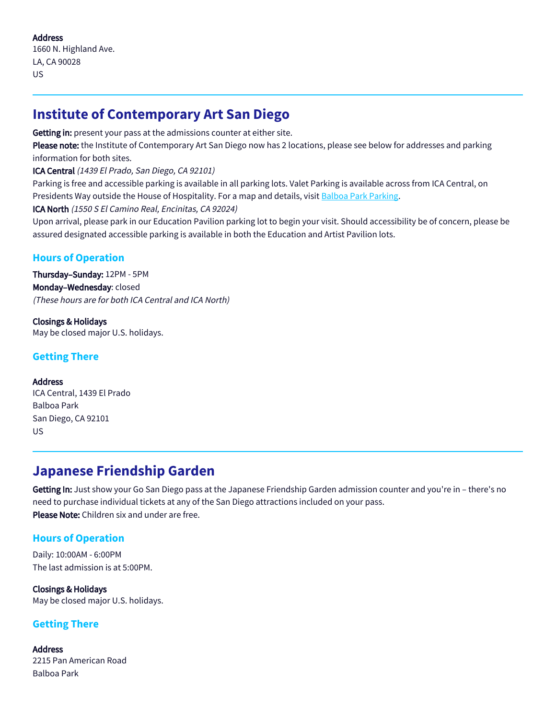1660 N. Highland Ave. LA, CA 90028 US

# **Institute of Contemporary Art San Diego**

Getting in: present your pass at the admissions counter at either site.

Please note: the Institute of Contemporary Art San Diego now has 2 locations, please see below for addresses and parking information for both sites.

### ICA Central (1439 El Prado, San Diego, CA 92101)

Parking is free and accessible parking is available in all parking lots. Valet Parking is available across from ICA Central, on Presidents Way outside the House of Hospitality. For a map and details, visit [Balboa Park Parking.](https://www.balboapark.org/plan/parking)

ICA North (1550 S El Camino Real, Encinitas, CA 92024)

Upon arrival, please park in our Education Pavilion parking lot to begin your visit. Should accessibility be of concern, please be assured designated accessible parking is available in both the Education and Artist Pavilion lots.

## **Hours of Operation**

Thursday–Sunday: 12PM - 5PM Monday–Wednesday: closed (These hours are for both ICA Central and ICA North)

Closings & Holidays May be closed major U.S. holidays.

## **Getting There**

### **Address**

ICA Central, 1439 El Prado Balboa Park San Diego, CA 92101 US

# **Japanese Friendship Garden**

Getting In: Just show your Go San Diego pass at the Japanese Friendship Garden admission counter and you're in – there's no need to purchase individual tickets at any of the San Diego attractions included on your pass. Please Note: Children six and under are free.

## **Hours of Operation**

Daily: 10:00AM - 6:00PM The last admission is at 5:00PM.

Closings & Holidays May be closed major U.S. holidays.

## **Getting There**

Address 2215 Pan American Road Balboa Park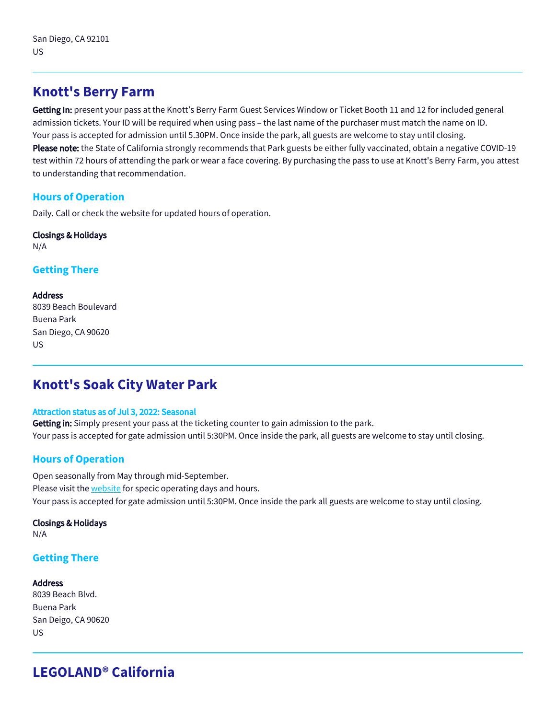# **Knott's Berry Farm**

Getting In: present your pass at the Knott's Berry Farm Guest Services Window or Ticket Booth 11 and 12 for included general admission tickets. Your ID will be required when using pass – the last name of the purchaser must match the name on ID. Your pass is accepted for admission until 5.30PM. Once inside the park, all guests are welcome to stay until closing. Please note: the State of California strongly recommends that Park guests be either fully vaccinated, obtain a negative COVID-19 test within 72 hours of attending the park or wear a face covering. By purchasing the pass to use at Knott's Berry Farm, you attest to understanding that recommendation.

## **Hours of Operation**

Daily. Call or check the website for updated hours of operation.

# Closings & Holidays

N/A

## **Getting There**

#### Address

8039 Beach Boulevard Buena Park San Diego, CA 90620 US

# **Knott's Soak City Water Park**

#### Attraction status as of Jul 3, 2022: Seasonal

Getting in: Simply present your pass at the ticketing counter to gain admission to the park. Your pass is accepted for gate admission until 5:30PM. Once inside the park, all guests are welcome to stay until closing.

## **Hours of Operation**

Open seasonally from May through mid-September. Please visit the **website** for specic operating days and hours. Your pass is accepted for gate admission until 5:30PM. Once inside the park all guests are welcome to stay until closing.

### Closings & Holidays

N/A

### **Getting There**

#### Address

8039 Beach Blvd. Buena Park San Deigo, CA 90620 US

# **LEGOLAND® California**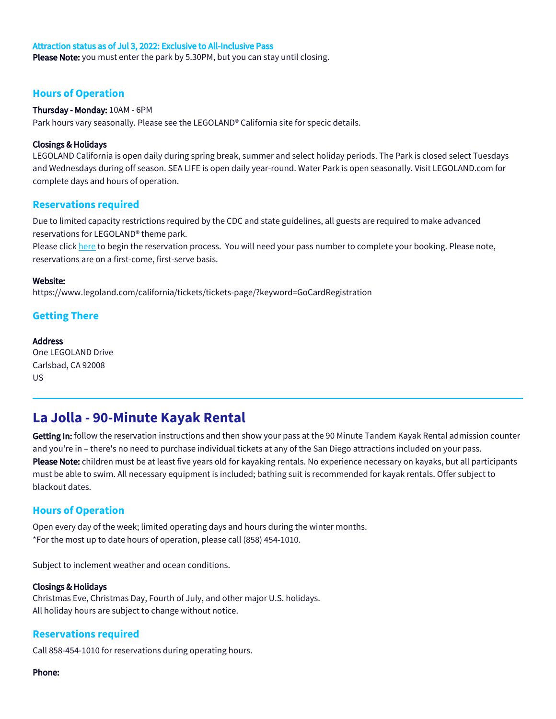#### Attraction status as of Jul 3, 2022: Exclusive to All-Inclusive Pass

Please Note: you must enter the park by 5.30PM, but you can stay until closing.

#### **Hours of Operation**

#### Thursday - Monday: 10AM - 6PM

Park hours vary seasonally. Please see the LEGOLAND® California site for specic details.

#### Closings & Holidays

LEGOLAND California is open daily during spring break, summer and select holiday periods. The Park is closed select Tuesdays and Wednesdays during off season. SEA LIFE is open daily year-round. Water Park is open seasonally. Visit LEGOLAND.com for complete days and hours of operation.

#### **Reservations required**

Due to limited capacity restrictions required by the CDC and state guidelines, all guests are required to make advanced reservations for LEGOLAND® theme park.

Please click [here](https://www.legoland.com/california/tickets/tickets-page/?keyword=GoCardRegistration) to begin the reservation process. You will need your pass number to complete your booking. Please note, reservations are on a first-come, first-serve basis.

#### Website:

https://www.legoland.com/california/tickets/tickets-page/?keyword=GoCardRegistration

#### **Getting There**

#### **Address**

One LEGOLAND Drive Carlsbad, CA 92008 US

# **La Jolla - 90-Minute Kayak Rental**

Getting In: follow the reservation instructions and then show your pass at the 90 Minute Tandem Kayak Rental admission counter and you're in – there's no need to purchase individual tickets at any of the San Diego attractions included on your pass. Please Note: children must be at least five years old for kayaking rentals. No experience necessary on kayaks, but all participants must be able to swim. All necessary equipment is included; bathing suit is recommended for kayak rentals. Offer subject to blackout dates.

### **Hours of Operation**

Open every day of the week; limited operating days and hours during the winter months. \*For the most up to date hours of operation, please call (858) 454-1010.

Subject to inclement weather and ocean conditions.

#### Closings & Holidays

Christmas Eve, Christmas Day, Fourth of July, and other major U.S. holidays. All holiday hours are subject to change without notice.

### **Reservations required**

Call 858-454-1010 for reservations during operating hours.

#### Phone: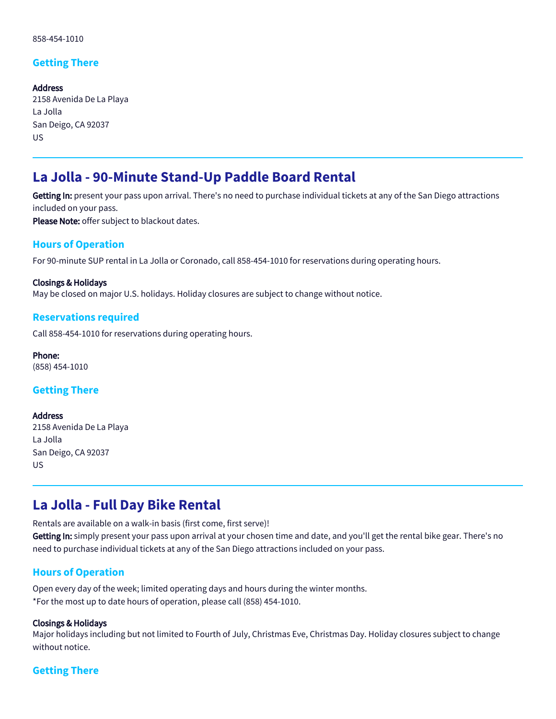## **Getting There**

Address 2158 Avenida De La Playa La Jolla San Deigo, CA 92037 US

# **La Jolla - 90-Minute Stand-Up Paddle Board Rental**

Getting In: present your pass upon arrival. There's no need to purchase individual tickets at any of the San Diego attractions included on your pass.

Please Note: offer subject to blackout dates.

### **Hours of Operation**

For 90-minute SUP rental in La Jolla or Coronado, call 858-454-1010 for reservations during operating hours.

Closings & Holidays May be closed on major U.S. holidays. Holiday closures are subject to change without notice.

#### **Reservations required**

Call 858-454-1010 for reservations during operating hours.

Phone: (858) 454-1010

#### **Getting There**

Address 2158 Avenida De La Playa La Jolla San Deigo, CA 92037 US

# **La Jolla - Full Day Bike Rental**

Rentals are available on a walk-in basis (first come, first serve)!

Getting In: simply present your pass upon arrival at your chosen time and date, and you'll get the rental bike gear. There's no need to purchase individual tickets at any of the San Diego attractions included on your pass.

### **Hours of Operation**

Open every day of the week; limited operating days and hours during the winter months. \*For the most up to date hours of operation, please call (858) 454-1010.

#### Closings & Holidays

Major holidays including but not limited to Fourth of July, Christmas Eve, Christmas Day. Holiday closures subject to change without notice.

### **Getting There**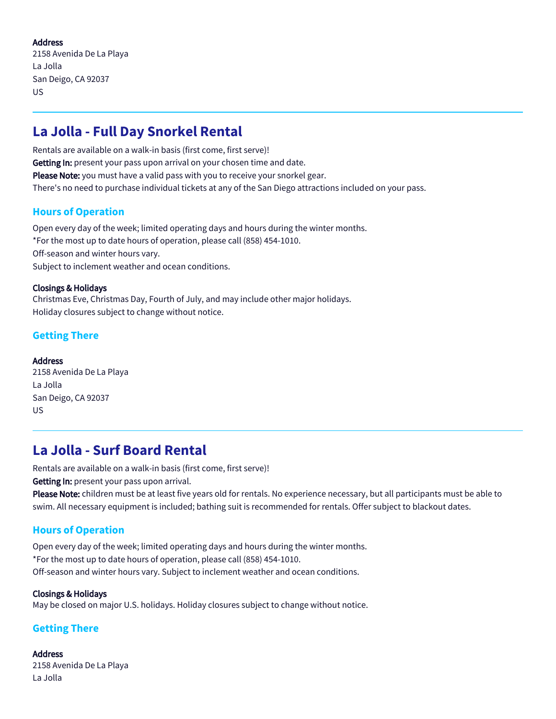### **Address**

2158 Avenida De La Playa La Jolla San Deigo, CA 92037 US

# **La Jolla - Full Day Snorkel Rental**

Rentals are available on a walk-in basis (first come, first serve)! Getting In: present your pass upon arrival on your chosen time and date. Please Note: you must have a valid pass with you to receive your snorkel gear. There's no need to purchase individual tickets at any of the San Diego attractions included on your pass.

## **Hours of Operation**

Open every day of the week; limited operating days and hours during the winter months. \*For the most up to date hours of operation, please call (858) 454-1010. Off-season and winter hours vary. Subject to inclement weather and ocean conditions.

#### Closings & Holidays

Christmas Eve, Christmas Day, Fourth of July, and may include other major holidays. Holiday closures subject to change without notice.

## **Getting There**

Address 2158 Avenida De La Playa La Jolla San Deigo, CA 92037 US

# **La Jolla - Surf Board Rental**

Rentals are available on a walk-in basis (first come, first serve)! Getting In: present your pass upon arrival.

Please Note: children must be at least five years old for rentals. No experience necessary, but all participants must be able to swim. All necessary equipment is included; bathing suit is recommended for rentals. Offer subject to blackout dates.

## **Hours of Operation**

Open every day of the week; limited operating days and hours during the winter months. \*For the most up to date hours of operation, please call (858) 454-1010. Off-season and winter hours vary. Subject to inclement weather and ocean conditions.

#### Closings & Holidays May be closed on major U.S. holidays. Holiday closures subject to change without notice.

## **Getting There**

**Address** 2158 Avenida De La Playa La Jolla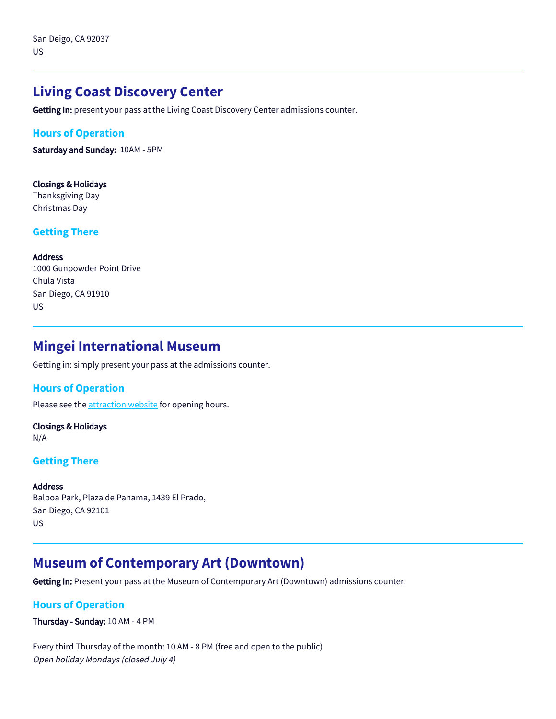# **Living Coast Discovery Center**

Getting In: present your pass at the Living Coast Discovery Center admissions counter.

#### **Hours of Operation**

Saturday and Sunday: 10AM - 5PM

#### Closings & Holidays Thanksgiving Day Christmas Day

#### **Getting There**

#### Address

1000 Gunpowder Point Drive Chula Vista San Diego, CA 91910 US

# **Mingei International Museum**

Getting in: simply present your pass at the admissions counter.

#### **Hours of Operation**

Please see the **attraction** website for opening hours.

#### Closings & Holidays N/A

#### **Getting There**

#### **Address**

Balboa Park, Plaza de Panama, 1439 El Prado, San Diego, CA 92101 US

# **Museum of Contemporary Art (Downtown)**

Getting In: Present your pass at the Museum of Contemporary Art (Downtown) admissions counter.

### **Hours of Operation**

Thursday - Sunday: 10 AM - 4 PM

Every third Thursday of the month: 10 AM - 8 PM (free and open to the public) Open holiday Mondays (closed July 4)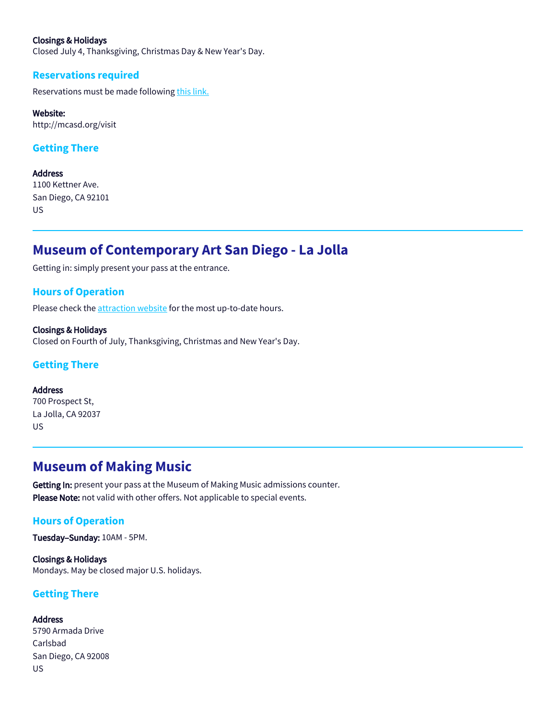#### Closings & Holidays

Closed July 4, Thanksgiving, Christmas Day & New Year's Day.

#### **Reservations required**

Reservations must be made following [this link.](http://mcasd.org/visit)

#### Website:

http://mcasd.org/visit

#### **Getting There**

**Address** 1100 Kettner Ave. San Diego, CA 92101 US

# **Museum of Contemporary Art San Diego - La Jolla**

Getting in: simply present your pass at the entrance.

#### **Hours of Operation**

Please check the [attraction website](https://mcasd.org/visit) for the most up-to-date hours.

Closings & Holidays Closed on Fourth of July, Thanksgiving, Christmas and New Year's Day.

#### **Getting There**

Address 700 Prospect St, La Jolla, CA 92037 US

# **Museum of Making Music**

Getting In: present your pass at the Museum of Making Music admissions counter. Please Note: not valid with other offers. Not applicable to special events.

#### **Hours of Operation**

Tuesday–Sunday: 10AM - 5PM.

Closings & Holidays Mondays. May be closed major U.S. holidays.

#### **Getting There**

Address 5790 Armada Drive Carlsbad San Diego, CA 92008 US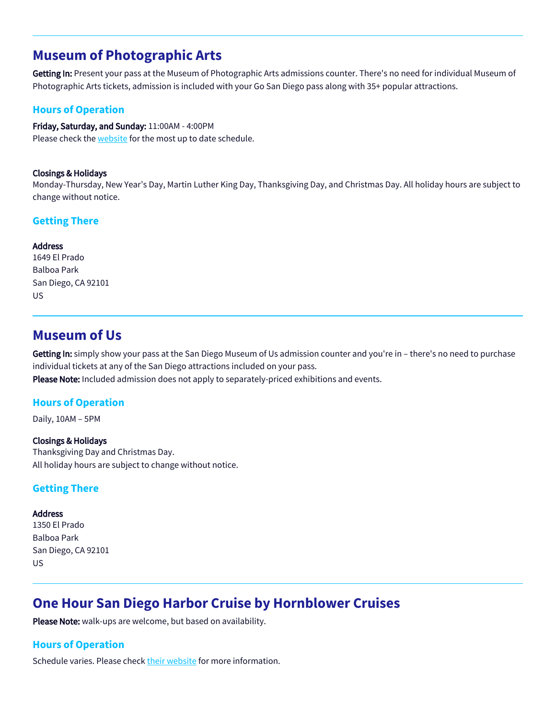# **Museum of Photographic Arts**

Getting In: Present your pass at the Museum of Photographic Arts admissions counter. There's no need for individual Museum of Photographic Arts tickets, admission is included with your Go San Diego pass along with 35+ popular attractions.

### **Hours of Operation**

Friday, Saturday, and Sunday: 11:00AM - 4:00PM Please check the [website](https://mopa.org/visit/) for the most up to date schedule.

#### Closings & Holidays

Monday-Thursday, New Year's Day, Martin Luther King Day, Thanksgiving Day, and Christmas Day. All holiday hours are subject to change without notice.

#### **Getting There**

#### **Address**

1649 El Prado Balboa Park San Diego, CA 92101 US

## **Museum of Us**

Getting In: simply show your pass at the San Diego Museum of Us admission counter and you're in - there's no need to purchase individual tickets at any of the San Diego attractions included on your pass. Please Note: Included admission does not apply to separately-priced exhibitions and events.

### **Hours of Operation**

Daily, 10AM – 5PM

#### Closings & Holidays Thanksgiving Day and Christmas Day. All holiday hours are subject to change without notice.

### **Getting There**

#### Address

1350 El Prado Balboa Park San Diego, CA 92101 US

# **One Hour San Diego Harbor Cruise by Hornblower Cruises**

Please Note: walk-ups are welcome, but based on availability.

### **Hours of Operation**

Schedule varies. Please check [their website](https://www.hornblower.com/san-diego/san-diego-one-hour-harbor-tour/%20) for more information.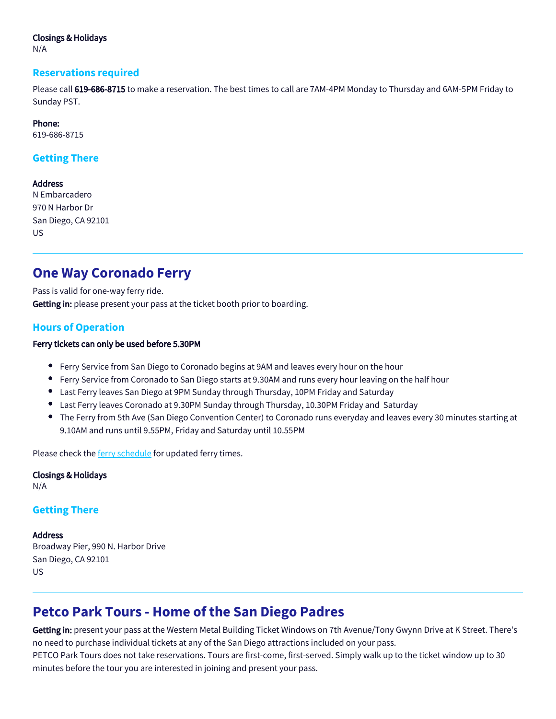#### Closings & Holidays

N/A

#### **Reservations required**

Please call 619-686-8715 to make a reservation. The best times to call are 7AM-4PM Monday to Thursday and 6AM-5PM Friday to Sunday PST.

#### Phone:

619-686-8715

### **Getting There**

#### Address

N Embarcadero 970 N Harbor Dr San Diego, CA 92101 US

# **One Way Coronado Ferry**

Pass is valid for one-way ferry ride. Getting in: please present your pass at the ticket booth prior to boarding.

### **Hours of Operation**

#### Ferry tickets can only be used before 5.30PM

- Ferry Service from San Diego to Coronado begins at 9AM and leaves every hour on the hour
- Ferry Service from Coronado to San Diego starts at 9.30AM and runs every hour leaving on the half hour
- Last Ferry leaves San Diego at 9PM Sunday through Thursday, 10PM Friday and Saturday
- Last Ferry leaves Coronado at 9.30PM Sunday through Thursday, 10.30PM Friday and Saturday
- The Ferry from 5th Ave (San Diego Convention Center) to Coronado runs everyday and leaves every 30 minutes starting at 9.10AM and runs until 9.55PM, Friday and Saturday until 10.55PM

Please check the **ferry schedule** for updated ferry times.

Closings & Holidays N/A

### **Getting There**

### **Address** Broadway Pier, 990 N. Harbor Drive San Diego, CA 92101 US

# **Petco Park Tours - Home of the San Diego Padres**

Getting in: present your pass at the Western Metal Building Ticket Windows on 7th Avenue/Tony Gwynn Drive at K Street. There's no need to purchase individual tickets at any of the San Diego attractions included on your pass. PETCO Park Tours does not take reservations. Tours are first-come, first-served. Simply walk up to the ticket window up to 30 minutes before the tour you are interested in joining and present your pass.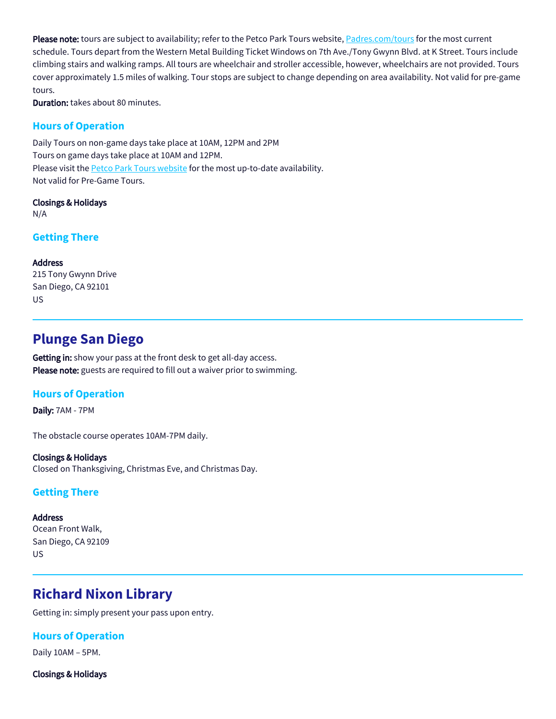Please note: tours are subject to availability; refer to the Petco Park Tours website, [Padres.com/tours](https://www.mlb.com/padres/ballpark/tours) for the most current schedule. Tours depart from the Western Metal Building Ticket Windows on 7th Ave./Tony Gwynn Blvd. at K Street. Tours include climbing stairs and walking ramps. All tours are wheelchair and stroller accessible, however, wheelchairs are not provided. Tours cover approximately 1.5 miles of walking. Tour stops are subject to change depending on area availability. Not valid for pre-game tours.

Duration: takes about 80 minutes.

### **Hours of Operation**

Daily Tours on non-game days take place at 10AM, 12PM and 2PM Tours on game days take place at 10AM and 12PM. Please visit the **Petco Park Tours website** for the most up-to-date availability. Not valid for Pre-Game Tours.

Closings & Holidays

N/A

**Getting There**

Address

215 Tony Gwynn Drive San Diego, CA 92101 US

# **Plunge San Diego**

Getting in: show your pass at the front desk to get all-day access. Please note: guests are required to fill out a waiver prior to swimming.

### **Hours of Operation**

Daily: 7AM - 7PM

The obstacle course operates 10AM-7PM daily.

Closings & Holidays Closed on Thanksgiving, Christmas Eve, and Christmas Day.

### **Getting There**

**Address** 

Ocean Front Walk, San Diego, CA 92109 US

# **Richard Nixon Library**

Getting in: simply present your pass upon entry.

**Hours of Operation**

Daily 10AM – 5PM.

Closings & Holidays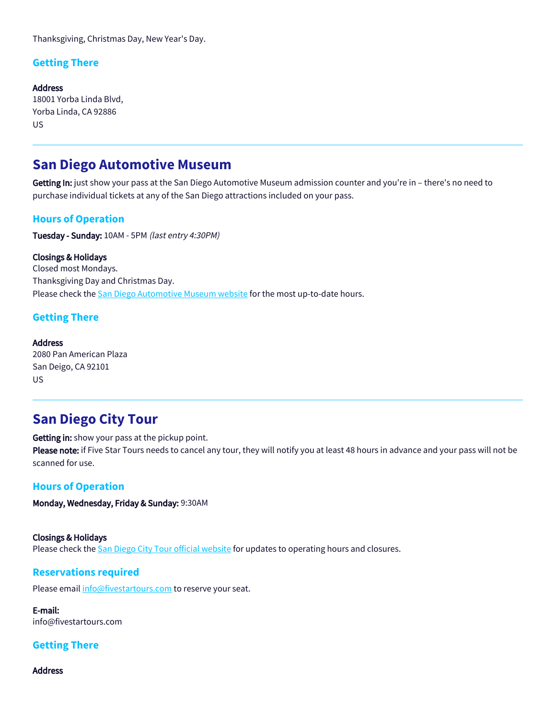Thanksgiving, Christmas Day, New Year's Day.

### **Getting There**

Address 18001 Yorba Linda Blvd, Yorba Linda, CA 92886 US

# **San Diego Automotive Museum**

Getting In: just show your pass at the San Diego Automotive Museum admission counter and you're in - there's no need to purchase individual tickets at any of the San Diego attractions included on your pass.

### **Hours of Operation**

Tuesday - Sunday: 10AM - 5PM (last entry 4:30PM)

Closings & Holidays Closed most Mondays. Thanksgiving Day and Christmas Day. Please check the [San Diego Automotive Museum website](https://www.sdautomuseum.org/hours) for the most up-to-date hours.

### **Getting There**

**Address** 2080 Pan American Plaza San Deigo, CA 92101 US

# **San Diego City Tour**

Getting in: show your pass at the pickup point.

Please note: if Five Star Tours needs to cancel any tour, they will notify you at least 48 hours in advance and your pass will not be scanned for use.

## **Hours of Operation**

Monday, Wednesday, Friday & Sunday: 9:30AM

Closings & Holidays Please check the [San Diego City Tour official website](http://www.citytoursofsandiego.com/san-diego-city-tour.html) for updates to operating hours and closures.

### **Reservations required**

Please email [info@fivestartours.com](mailto:info@fivestartours.com) to reserve your seat.

E-mail: info@fivestartours.com

### **Getting There**

Address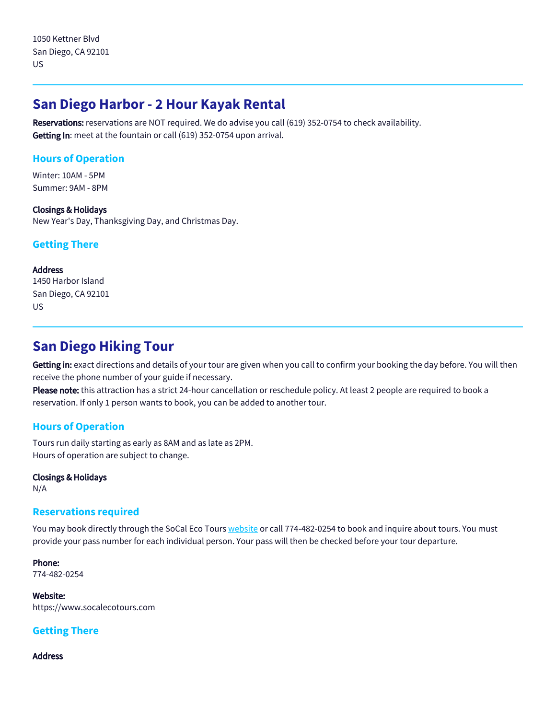# **San Diego Harbor - 2 Hour Kayak Rental**

Reservations: reservations are NOT required. We do advise you call (619) 352-0754 to check availability. Getting In: meet at the fountain or call (619) 352-0754 upon arrival.

## **Hours of Operation**

Winter: 10AM - 5PM Summer: 9AM - 8PM

Closings & Holidays New Year's Day, Thanksgiving Day, and Christmas Day.

## **Getting There**

Address 1450 Harbor Island San Diego, CA 92101 US

# **San Diego Hiking Tour**

Getting in: exact directions and details of your tour are given when you call to confirm your booking the day before. You will then receive the phone number of your guide if necessary.

Please note: this attraction has a strict 24-hour cancellation or reschedule policy. At least 2 people are required to book a reservation. If only 1 person wants to book, you can be added to another tour.

## **Hours of Operation**

Tours run daily starting as early as 8AM and as late as 2PM. Hours of operation are subject to change.

Closings & Holidays

N/A

### **Reservations required**

You may book directly through the SoCal Eco Tours [website](https://www.socalecotours.com) or call 774-482-0254 to book and inquire about tours. You must provide your pass number for each individual person. Your pass will then be checked before your tour departure.

Phone: 774-482-0254

Website: https://www.socalecotours.com

## **Getting There**

Address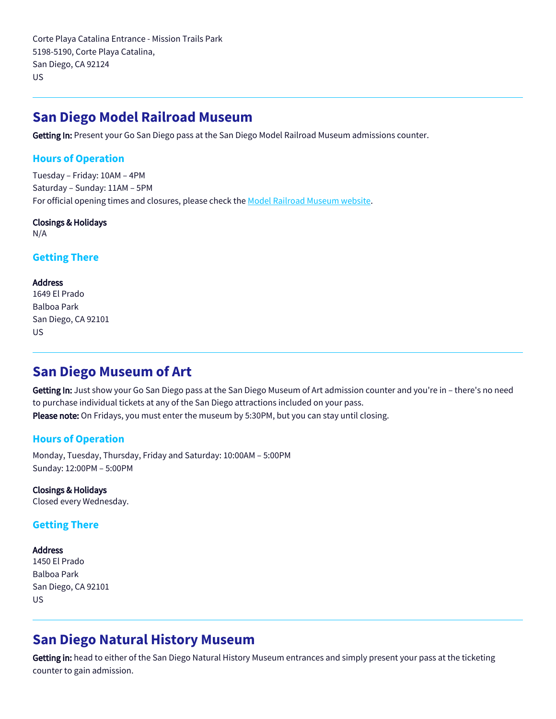Corte Playa Catalina Entrance - Mission Trails Park 5198-5190, Corte Playa Catalina, San Diego, CA 92124 US

## **San Diego Model Railroad Museum**

Getting In: Present your Go San Diego pass at the San Diego Model Railroad Museum admissions counter.

#### **Hours of Operation**

Tuesday – Friday: 10AM – 4PM Saturday – Sunday: 11AM – 5PM For official opening times and closures, please check the [Model Railroad Museum website](https://www.sdmrm.org/visit-sdmrm).

#### Closings & Holidays

N/A

#### **Getting There**

#### Address

1649 El Prado Balboa Park San Diego, CA 92101 US

# **San Diego Museum of Art**

Getting In: Just show your Go San Diego pass at the San Diego Museum of Art admission counter and you're in – there's no need to purchase individual tickets at any of the San Diego attractions included on your pass. Please note: On Fridays, you must enter the museum by 5:30PM, but you can stay until closing.

### **Hours of Operation**

Monday, Tuesday, Thursday, Friday and Saturday: 10:00AM – 5:00PM Sunday: 12:00PM – 5:00PM

Closings & Holidays Closed every Wednesday.

### **Getting There**

#### Address

1450 El Prado Balboa Park San Diego, CA 92101 US

# **San Diego Natural History Museum**

Getting in: head to either of the San Diego Natural History Museum entrances and simply present your pass at the ticketing counter to gain admission.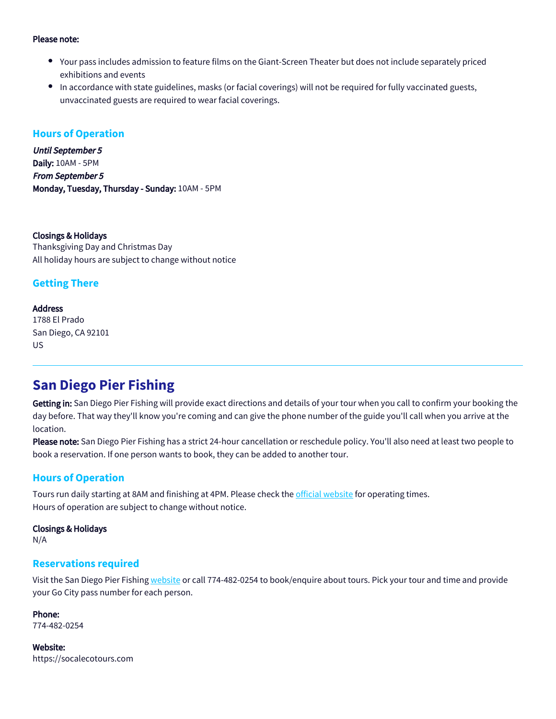#### Please note:

- Your pass includes admission to feature films on the Giant-Screen Theater but does not include separately priced exhibitions and events
- In accordance with state guidelines, masks (or facial coverings) will not be required for fully vaccinated guests, unvaccinated guests are required to wear facial coverings.

#### **Hours of Operation**

Until September 5 Daily: 10AM - 5PM From September 5 Monday, Tuesday, Thursday - Sunday: 10AM - 5PM

Closings & Holidays Thanksgiving Day and Christmas Day All holiday hours are subject to change without notice

### **Getting There**

#### **Address**

1788 El Prado San Diego, CA 92101 US

# **San Diego Pier Fishing**

Getting in: San Diego Pier Fishing will provide exact directions and details of your tour when you call to confirm your booking the day before. That way they'll know you're coming and can give the phone number of the guide you'll call when you arrive at the location.

Please note: San Diego Pier Fishing has a strict 24-hour cancellation or reschedule policy. You'll also need at least two people to book a reservation. If one person wants to book, they can be added to another tour.

### **Hours of Operation**

Tours run daily starting at 8AM and finishing at 4PM. Please check the [official website](https://www.socalecotours.com/) for operating times. Hours of operation are subject to change without notice.

#### Closings & Holidays

N/A

#### **Reservations required**

Visit the San Diego Pier Fishing [website](https://www.socalecotours.com) or call 774-482-0254 to book/enquire about tours. Pick your tour and time and provide your Go City pass number for each person.

Phone: 774-482-0254

Website: https://socalecotours.com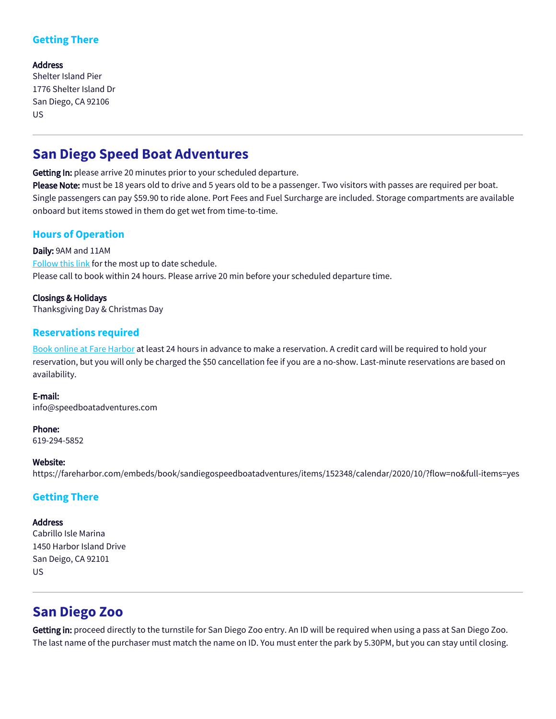## **Getting There**

#### Address

Shelter Island Pier 1776 Shelter Island Dr San Diego, CA 92106 US

# **San Diego Speed Boat Adventures**

Getting In: please arrive 20 minutes prior to your scheduled departure.

Please Note: must be 18 years old to drive and 5 years old to be a passenger. Two visitors with passes are required per boat. Single passengers can pay \$59.90 to ride alone. Port Fees and Fuel Surcharge are included. Storage compartments are available onboard but items stowed in them do get wet from time-to-time.

## **Hours of Operation**

Daily: 9AM and 11AM [Follow this link](https://fareharbor.com/embeds/book/sandiegospeedboatadventures/items/152348/calendar/2020/03/?flow=no&full-items=yes) for the most up to date schedule. Please call to book within 24 hours. Please arrive 20 min before your scheduled departure time.

Closings & Holidays Thanksgiving Day & Christmas Day

### **Reservations required**

[Book online at Fare Harbor](https://fareharbor.com/embeds/book/sandiegospeedboatadventures/items/152348/calendar/2020/03/?flow=no&full-items=yes) at least 24 hours in advance to make a reservation. A credit card will be required to hold your reservation, but you will only be charged the \$50 cancellation fee if you are a no-show. Last-minute reservations are based on availability.

#### E-mail:

info@speedboatadventures.com

#### Phone:

619-294-5852

#### Website:

https://fareharbor.com/embeds/book/sandiegospeedboatadventures/items/152348/calendar/2020/10/?flow=no&full-items=yes

### **Getting There**

#### Address

Cabrillo Isle Marina 1450 Harbor Island Drive San Deigo, CA 92101 US

# **San Diego Zoo**

Getting in: proceed directly to the turnstile for San Diego Zoo entry. An ID will be required when using a pass at San Diego Zoo. The last name of the purchaser must match the name on ID. You must enter the park by 5.30PM, but you can stay until closing.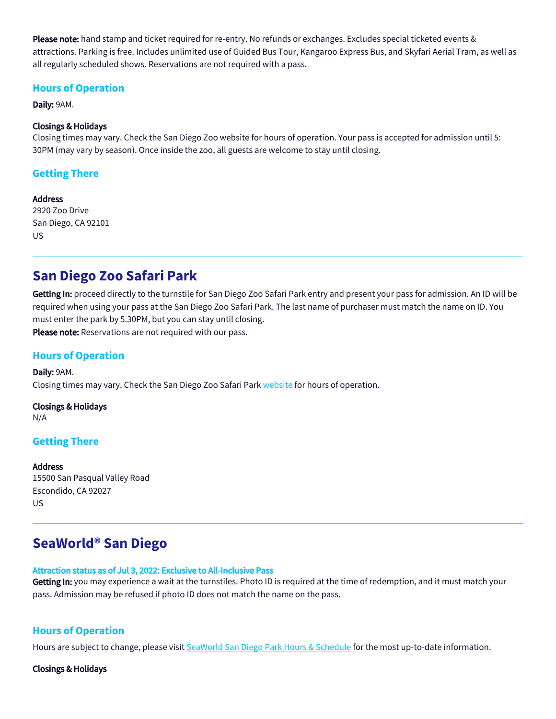Please note: hand stamp and ticket required for re-entry. No refunds or exchanges. Excludes special ticketed events & attractions. Parking is free. Includes unlimited use of Guided Bus Tour, Kangaroo Express Bus, and Skyfari Aerial Tram, as well as all regularly scheduled shows. Reservations are not required with a pass.

### **Hours of Operation**

Daily: 9AM.

#### Closings & Holidays

Closing times may vary. Check the San Diego Zoo website for hours of operation. Your pass is accepted for admission until 5: 30PM (may vary by season). Once inside the zoo, all guests are welcome to stay until closing.

### **Getting There**

Address 2920 Zoo Drive San Diego, CA 92101 US

# **San Diego Zoo Safari Park**

Getting In: proceed directly to the turnstile for San Diego Zoo Safari Park entry and present your pass for admission. An ID will be required when using your pass at the San Diego Zoo Safari Park. The last name of purchaser must match the name on ID. You must enter the park by 5.30PM, but you can stay until closing. Please note: Reservations are not required with our pass.

### **Hours of Operation**

Daily: 9AM. Closing times may vary. Check the San Diego Zoo Safari Park [website](https://www.sdzsafaripark.org/) for hours of operation.

Closings & Holidays N/A

### **Getting There**

**Address** 15500 San Pasqual Valley Road Escondido, CA 92027 US

# **SeaWorld® San Diego**

#### Attraction status as of Jul 3, 2022: Exclusive to All-Inclusive Pass

Getting In: you may experience a wait at the turnstiles. Photo ID is required at the time of redemption, and it must match your pass. Admission may be refused if photo ID does not match the name on the pass.

### **Hours of Operation**

Hours are subject to change, please visit [SeaWorld San Diego Park Hours & Schedule](https://seaworld.com/san-diego/park-info/theme-park-hours/) for the most up-to-date information.

#### Closings & Holidays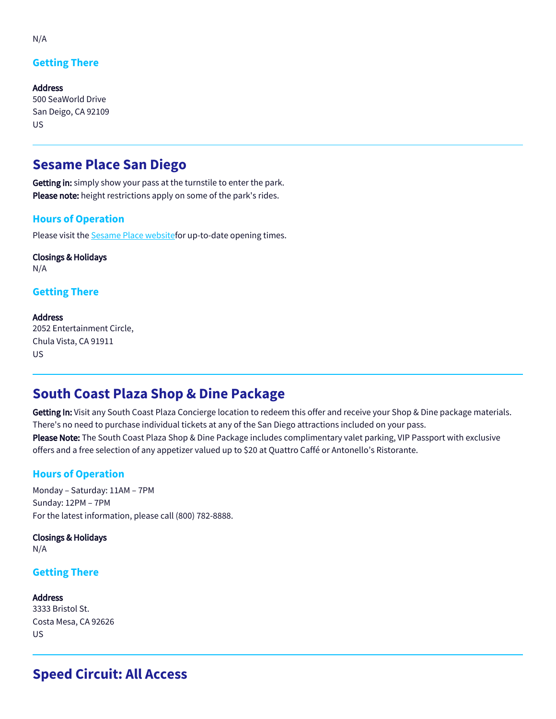## **Getting There**

Address 500 SeaWorld Drive San Deigo, CA 92109 US

# **Sesame Place San Diego**

Getting in: simply show your pass at the turnstile to enter the park. Please note: height restrictions apply on some of the park's rides.

### **Hours of Operation**

Please visit the **[Sesame Place websitef](https://sesameplace.com/san-diego/park-info/park-hours/)or up-to-date opening times.** 

Closings & Holidays N/A

**Getting There**

#### **Address** 2052 Entertainment Circle, Chula Vista, CA 91911 US

# **South Coast Plaza Shop & Dine Package**

Getting In: Visit any South Coast Plaza Concierge location to redeem this offer and receive your Shop & Dine package materials. There's no need to purchase individual tickets at any of the San Diego attractions included on your pass. Please Note: The South Coast Plaza Shop & Dine Package includes complimentary valet parking, VIP Passport with exclusive offers and a free selection of any appetizer valued up to \$20 at Quattro Caffé or Antonello's Ristorante.

## **Hours of Operation**

Monday – Saturday: 11AM – 7PM Sunday: 12PM – 7PM For the latest information, please call (800) 782-8888.

Closings & Holidays N/A

### **Getting There**

Address 3333 Bristol St. Costa Mesa, CA 92626 US

# **Speed Circuit: All Access**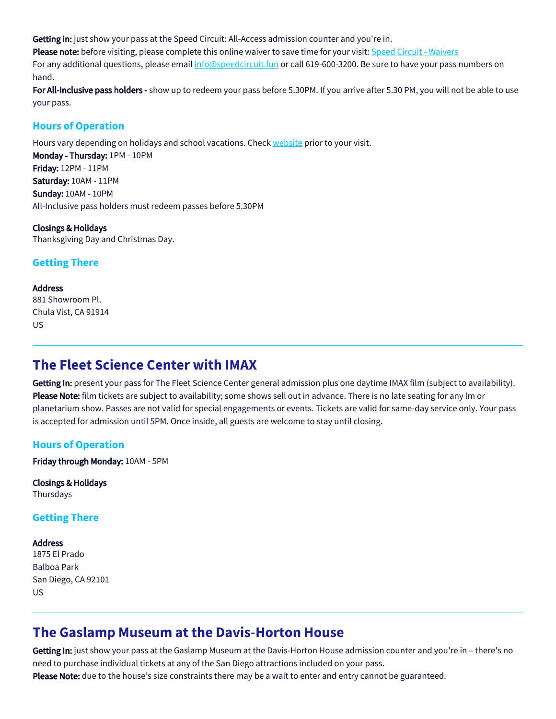Getting in: just show your pass at the Speed Circuit: All-Access admission counter and you're in.

Please note: before visiting, please complete this online waiver to save time for your visit: Speed Circuit - Waivers

For any additional questions, please email [info@speedcircuit.fun](mailto:info@speedcircuit.fun) or call 619-600-3200. Be sure to have your pass numbers on hand.

For All-Inclusive pass holders - show up to redeem your pass before 5.30PM. If you arrive after 5.30 PM, you will not be able to use your pass.

### **Hours of Operation**

Hours vary depending on holidays and school vacations. Check [website](https://speedcircuit.fun/) prior to your visit.

Monday - Thursday: 1PM - 10PM Friday: 12PM - 11PM Saturday: 10AM - 11PM Sunday: 10AM - 10PM All-Inclusive pass holders must redeem passes before 5.30PM

Closings & Holidays Thanksgiving Day and Christmas Day.

## **Getting There**

**Address** 881 Showroom Pl. Chula Vist, CA 91914 US

# **The Fleet Science Center with IMAX**

Getting In: present your pass for The Fleet Science Center general admission plus one daytime IMAX film (subject to availability). Please Note: film tickets are subject to availability; some shows sell out in advance. There is no late seating for any lm or planetarium show. Passes are not valid for special engagements or events. Tickets are valid for same-day service only. Your pass is accepted for admission until 5PM. Once inside, all guests are welcome to stay until closing.

## **Hours of Operation**

Friday through Monday: 10AM - 5PM

Closings & Holidays Thursdays

### **Getting There**

#### Address

1875 El Prado Balboa Park San Diego, CA 92101 US

# **The Gaslamp Museum at the Davis-Horton House**

Getting In: just show your pass at the Gaslamp Museum at the Davis-Horton House admission counter and you're in – there's no need to purchase individual tickets at any of the San Diego attractions included on your pass. Please Note: due to the house's size constraints there may be a wait to enter and entry cannot be guaranteed.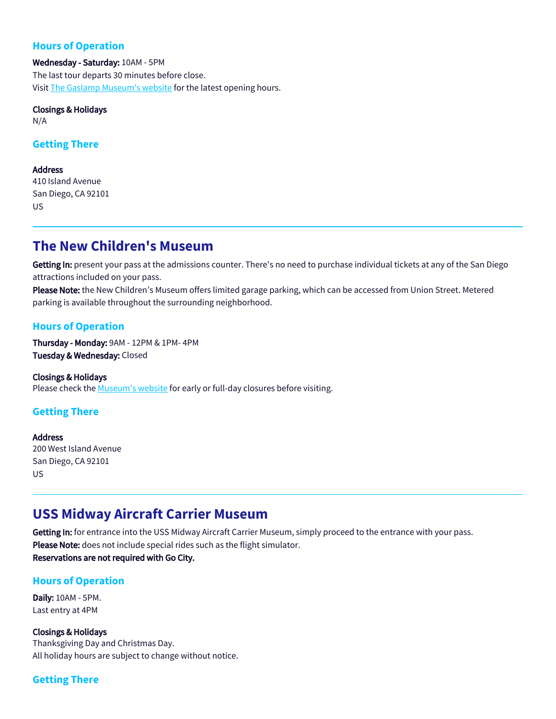### **Hours of Operation**

Wednesday - Saturday: 10AM - 5PM The last tour departs 30 minutes before close. Visit [The Gaslamp Museum's website](https://gaslampfoundation.org/visit-the-gaslamp-museum-at-the-davis-horton-house/) for the latest opening hours.

#### Closings & Holidays N/A

#### **Getting There**

**Address** 410 Island Avenue San Diego, CA 92101 US

# **The New Children's Museum**

Getting In: present your pass at the admissions counter. There's no need to purchase individual tickets at any of the San Diego attractions included on your pass.

Please Note: the New Children's Museum offers limited garage parking, which can be accessed from Union Street. Metered parking is available throughout the surrounding neighborhood.

### **Hours of Operation**

Thursday - Monday: 9AM - 12PM & 1PM- 4PM Tuesday & Wednesday: Closed

Closings & Holidays Please check the [Museum's website](https://thinkplaycreate.org/visit/) for early or full-day closures before visiting.

## **Getting There**

**Address** 200 West Island Avenue San Diego, CA 92101 US

# **USS Midway Aircraft Carrier Museum**

Getting In: for entrance into the USS Midway Aircraft Carrier Museum, simply proceed to the entrance with your pass. Please Note: does not include special rides such as the flight simulator. Reservations are not required with Go City.

### **Hours of Operation**

Daily: 10AM - 5PM. Last entry at 4PM

Closings & Holidays Thanksgiving Day and Christmas Day. All holiday hours are subject to change without notice.

## **Getting There**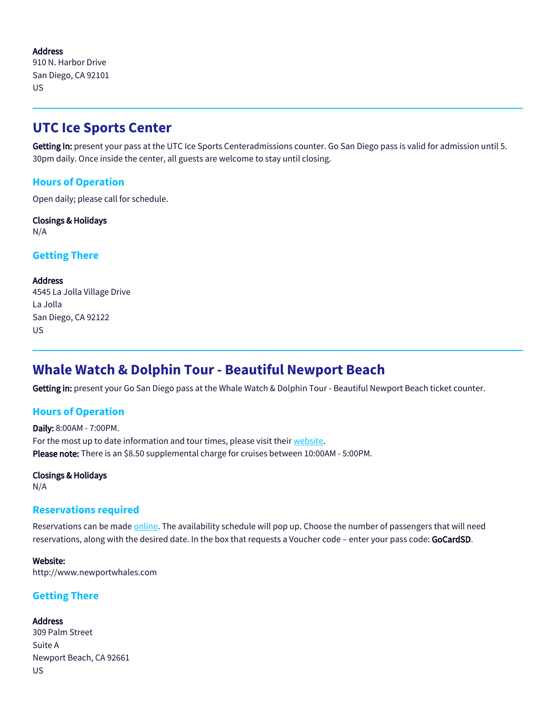Address 910 N. Harbor Drive San Diego, CA 92101 US

# **UTC Ice Sports Center**

Getting In: present your pass at the UTC Ice Sports Centeradmissions counter. Go San Diego pass is valid for admission until 5. 30pm daily. Once inside the center, all guests are welcome to stay until closing.

## **Hours of Operation**

Open daily; please call for schedule.

Closings & Holidays N/A

## **Getting There**

Address 4545 La Jolla Village Drive La Jolla San Diego, CA 92122 US

# **Whale Watch & Dolphin Tour - Beautiful Newport Beach**

Getting in: present your Go San Diego pass at the Whale Watch & Dolphin Tour - Beautiful Newport Beach ticket counter.

## **Hours of Operation**

Daily: 8:00AM - 7:00PM. For the most up to date information and tour times, please visit their [website](https://newportwhales.com/). Please note: There is an \$8.50 supplemental charge for cruises between 10:00AM - 5:00PM.

# Closings & Holidays

N/A

### **Reservations required**

Reservations can be made [online.](http://www.newportwhales.com) The availability schedule will pop up. Choose the number of passengers that will need reservations, along with the desired date. In the box that requests a Voucher code - enter your pass code: GoCardSD.

Website: http://www.newportwhales.com

## **Getting There**

Address 309 Palm Street Suite A Newport Beach, CA 92661 US